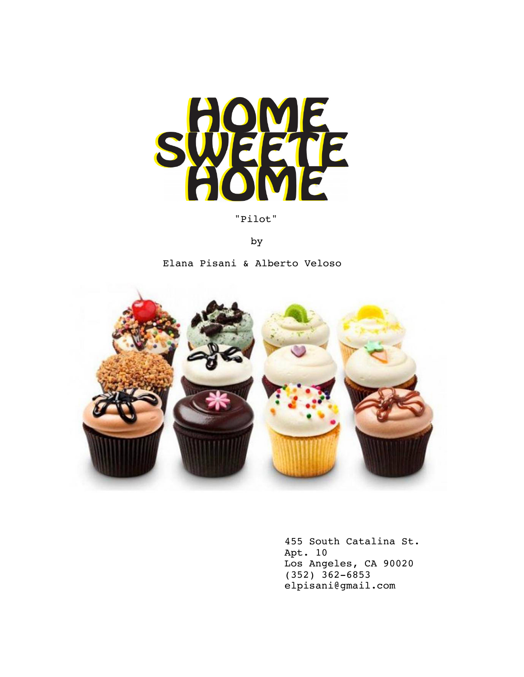

"Pilot"

by

Elana Pisani & Alberto Veloso



455 South Catalina St. Apt. 10 Los Angeles, CA 90020 (352) 362-6853 elpisani@gmail.com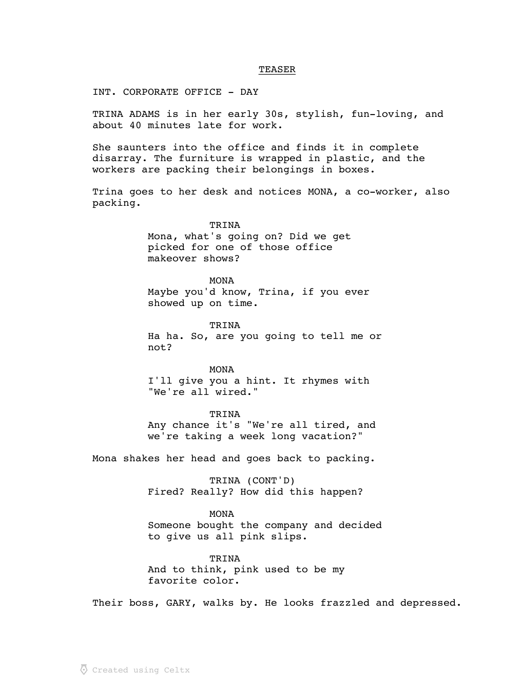## **TEASER**

INT. CORPORATE OFFICE - DAY

TRINA ADAMS is in her early 30s, stylish, fun-loving, and about 40 minutes late for work.

She saunters into the office and finds it in complete disarray. The furniture is wrapped in plastic, and the workers are packing their belongings in boxes.

Trina goes to her desk and notices MONA, a co-worker, also packing.

TRINA

Mona, what's going on? Did we get picked for one of those office makeover shows?

MONA

Maybe you'd know, Trina, if you ever showed up on time.

TRINA

Ha ha. So, are you going to tell me or not?

MONA I'll give you a hint. It rhymes with "We're all wired."

TRINA Any chance it's "We're all tired, and we're taking a week long vacation?"

Mona shakes her head and goes back to packing.

TRINA (CONT'D) Fired? Really? How did this happen?

MONA Someone bought the company and decided to give us all pink slips.

TRINA And to think, pink used to be my favorite color.

Their boss, GARY, walks by. He looks frazzled and depressed.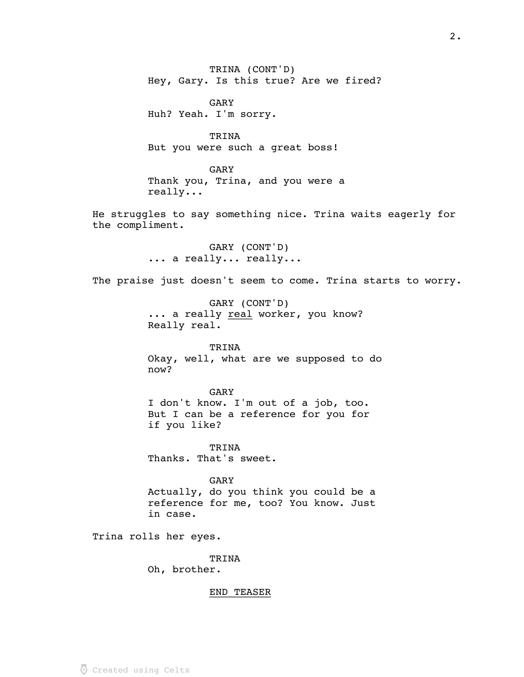TRINA (CONT'D) Hey, Gary. Is this true? Are we fired?

GARY Huh? Yeah. I'm sorry.

TRINA But you were such a great boss!

GARY Thank you, Trina, and you were a really...

He struggles to say something nice. Trina waits eagerly for the compliment.

> GARY (CONT'D) ... a really... really...

The praise just doesn't seem to come. Trina starts to worry.

GARY (CONT'D) ... a really real worker, you know? Really real.

TRINA Okay, well, what are we supposed to do now?

GARY I don't know. I'm out of a job, too. But I can be a reference for you for if you like?

TRINA Thanks. That's sweet.

GARY Actually, do you think you could be a reference for me, too? You know. Just in case.

Trina rolls her eyes.

TRINA

Oh, brother.

# END TEASER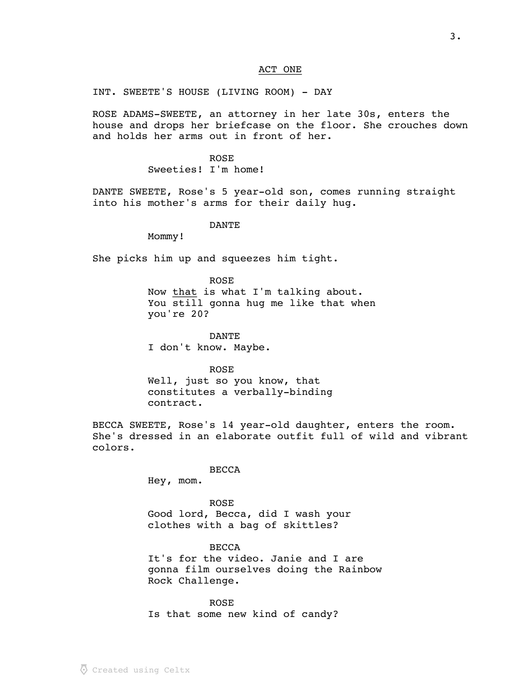# ACT ONE

INT. SWEETE'S HOUSE (LIVING ROOM) - DAY

ROSE ADAMS-SWEETE, an attorney in her late 30s, enters the house and drops her briefcase on the floor. She crouches down and holds her arms out in front of her.

> ROSE Sweeties! I'm home!

DANTE SWEETE, Rose's 5 year-old son, comes running straight into his mother's arms for their daily hug.

DANTE

Mommy!

She picks him up and squeezes him tight.

ROSE

Now that is what I'm talking about. You still gonna hug me like that when you're 20?

DANTE I don't know. Maybe.

ROSE Well, just so you know, that constitutes a verbally-binding contract.

BECCA SWEETE, Rose's 14 year-old daughter, enters the room. She's dressed in an elaborate outfit full of wild and vibrant colors.

BECCA

Hey, mom.

ROSE Good lord, Becca, did I wash your clothes with a bag of skittles?

BECCA It's for the video. Janie and I are gonna film ourselves doing the Rainbow Rock Challenge.

ROSE Is that some new kind of candy?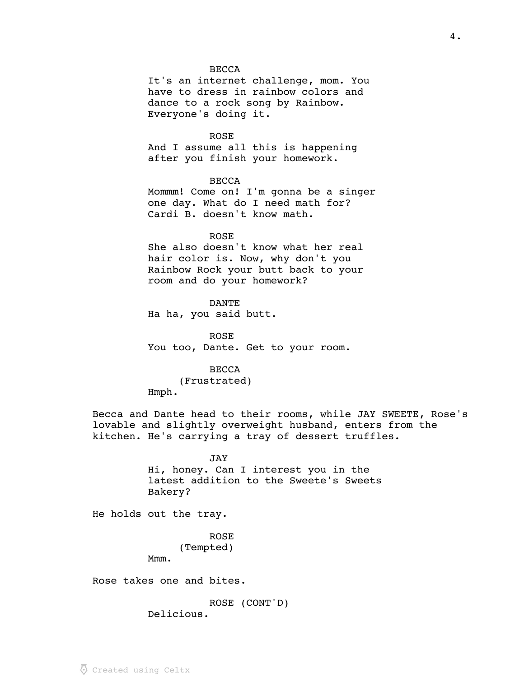## **BECCA**

It's an internet challenge, mom. You have to dress in rainbow colors and dance to a rock song by Rainbow. Everyone's doing it.

#### ROSE

And I assume all this is happening after you finish your homework.

## BECCA

Mommm! Come on! I'm gonna be a singer one day. What do I need math for? Cardi B. doesn't know math.

## ROSE

She also doesn't know what her real hair color is. Now, why don't you Rainbow Rock your butt back to your room and do your homework?

DANTE Ha ha, you said butt.

ROSE You too, Dante. Get to your room.

# **BECCA**

(Frustrated) Hmph.

Becca and Dante head to their rooms, while JAY SWEETE, Rose's lovable and slightly overweight husband, enters from the kitchen. He's carrying a tray of dessert truffles.

> JAY Hi, honey. Can I interest you in the latest addition to the Sweete's Sweets Bakery?

He holds out the tray.

Mmm.

ROSE (Tempted)

Rose takes one and bites.

ROSE (CONT'D)

Delicious.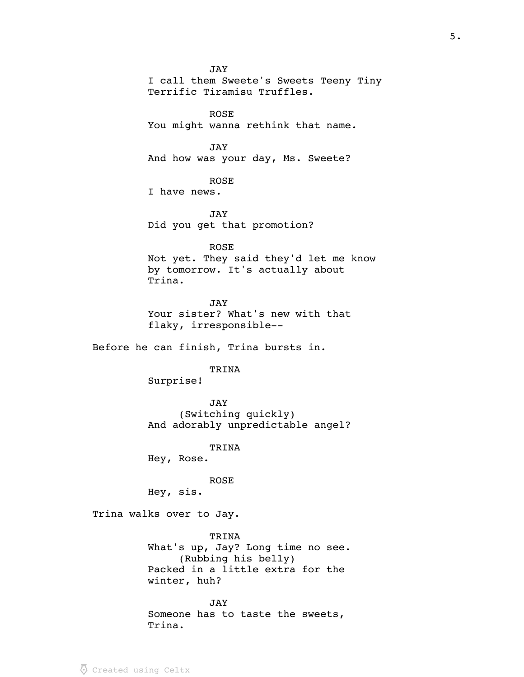JAY I call them Sweete's Sweets Teeny Tiny Terrific Tiramisu Truffles. ROSE You might wanna rethink that name. JAY And how was your day, Ms. Sweete? ROSE I have news. JAY Did you get that promotion? ROSE Not yet. They said they'd let me know by tomorrow. It's actually about Trina. JAY Your sister? What's new with that flaky, irresponsible-- Before he can finish, Trina bursts in. TRINA Surprise! JAY (Switching quickly) And adorably unpredictable angel? TRINA Hey, Rose. ROSE Hey, sis. Trina walks over to Jay. TRINA

What's up, Jay? Long time no see. (Rubbing his belly) Packed in a little extra for the winter, huh?

JAY Someone has to taste the sweets, Trina.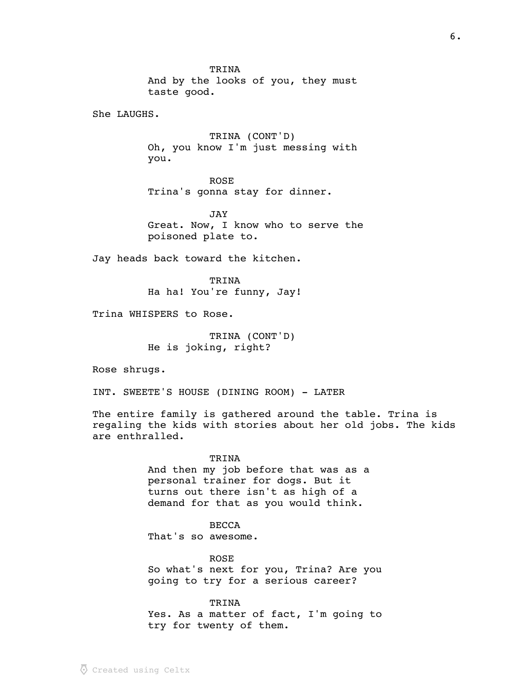TRINA And by the looks of you, they must taste good.

She LAUGHS.

TRINA (CONT'D) Oh, you know I'm just messing with you.

ROSE Trina's gonna stay for dinner.

JAY Great. Now, I know who to serve the poisoned plate to.

Jay heads back toward the kitchen.

TRINA Ha ha! You're funny, Jay!

Trina WHISPERS to Rose.

TRINA (CONT'D) He is joking, right?

Rose shrugs.

INT. SWEETE'S HOUSE (DINING ROOM) - LATER

The entire family is gathered around the table. Trina is regaling the kids with stories about her old jobs. The kids are enthralled.

> TRINA And then my job before that was as a personal trainer for dogs. But it turns out there isn't as high of a demand for that as you would think.

BECCA That's so awesome.

ROSE So what's next for you, Trina? Are you going to try for a serious career?

TRINA Yes. As a matter of fact, I'm going to try for twenty of them.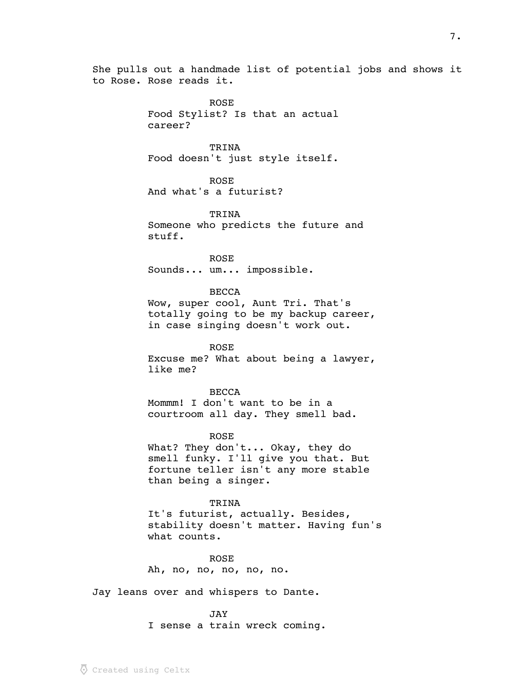She pulls out a handmade list of potential jobs and shows it to Rose. Rose reads it.

> ROSE Food Stylist? Is that an actual career?

> TRINA Food doesn't just style itself.

ROSE And what's a futurist?

TRINA Someone who predicts the future and stuff.

ROSE Sounds... um... impossible.

BECCA Wow, super cool, Aunt Tri. That's totally going to be my backup career, in case singing doesn't work out.

ROSE Excuse me? What about being a lawyer, like me?

**BECCA** Mommm! I don't want to be in a courtroom all day. They smell bad.

ROSE

What? They don't... Okay, they do smell funky. I'll give you that. But fortune teller isn't any more stable than being a singer.

TRINA

It's futurist, actually. Besides, stability doesn't matter. Having fun's what counts.

ROSE Ah, no, no, no, no, no.

Jay leans over and whispers to Dante.

JAY

I sense a train wreck coming.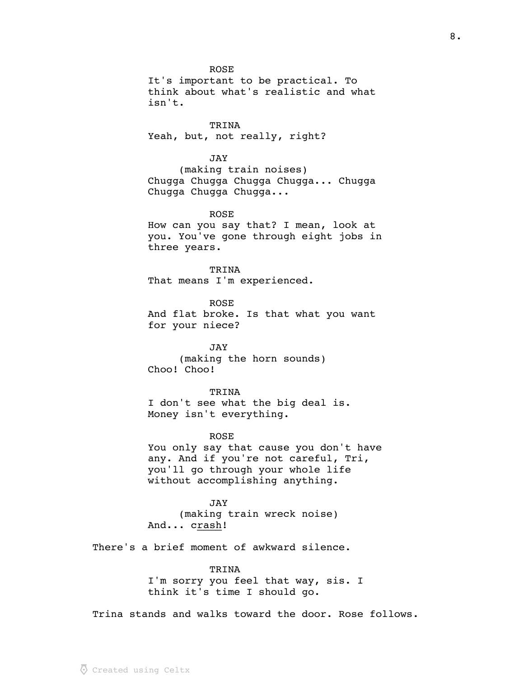ROSE

It's important to be practical. To think about what's realistic and what isn't.

TRINA Yeah, but, not really, right?

JAY

(making train noises) Chugga Chugga Chugga Chugga... Chugga Chugga Chugga Chugga...

ROSE

How can you say that? I mean, look at you. You've gone through eight jobs in three years.

TRINA That means I'm experienced.

ROSE And flat broke. Is that what you want for your niece?

JAY (making the horn sounds) Choo! Choo!

TRINA I don't see what the big deal is. Money isn't everything.

ROSE

You only say that cause you don't have any. And if you're not careful, Tri, you'll go through your whole life without accomplishing anything.

JAY (making train wreck noise) And... crash!

There's a brief moment of awkward silence.

TRINA I'm sorry you feel that way, sis. I think it's time I should go.

Trina stands and walks toward the door. Rose follows.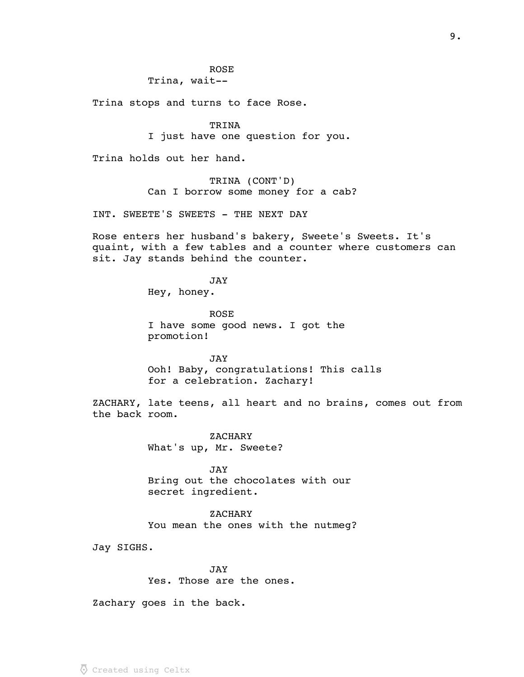# ROSE

Trina, wait--

Trina stops and turns to face Rose.

TRINA I just have one question for you.

Trina holds out her hand.

TRINA (CONT'D) Can I borrow some money for a cab?

INT. SWEETE'S SWEETS - THE NEXT DAY

Rose enters her husband's bakery, Sweete's Sweets. It's quaint, with a few tables and a counter where customers can sit. Jay stands behind the counter.

JAY

Hey, honey.

ROSE I have some good news. I got the promotion!

JAY Ooh! Baby, congratulations! This calls for a celebration. Zachary!

ZACHARY, late teens, all heart and no brains, comes out from the back room.

> ZACHARY What's up, Mr. Sweete?

JAY Bring out the chocolates with our secret ingredient.

ZACHARY You mean the ones with the nutmeg?

Jay SIGHS.

JAY

Yes. Those are the ones.

Zachary goes in the back.

9.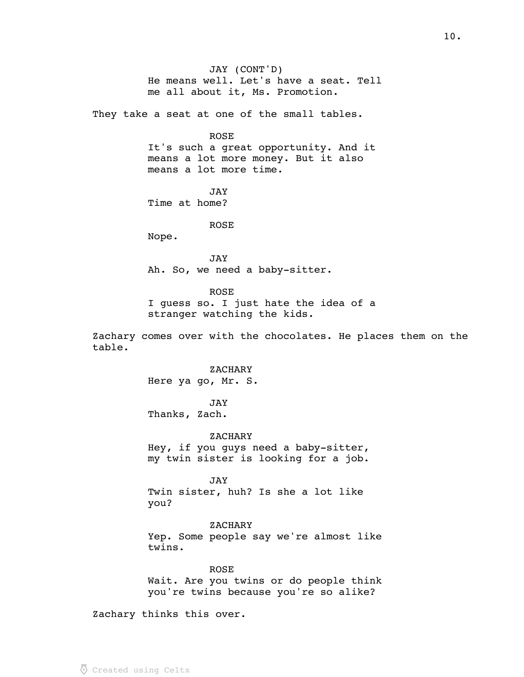JAY (CONT'D) He means well. Let's have a seat. Tell me all about it, Ms. Promotion. They take a seat at one of the small tables. ROSE It's such a great opportunity. And it means a lot more money. But it also means a lot more time. JAY Time at home? ROSE Nope. JAY Ah. So, we need a baby-sitter. ROSE I guess so. I just hate the idea of a stranger watching the kids. Zachary comes over with the chocolates. He places them on the table. **ZACHARY** Here ya go, Mr. S. JAY Thanks, Zach. **ZACHARY** Hey, if you guys need a baby-sitter, my twin sister is looking for a job. JAY Twin sister, huh? Is she a lot like you? ZACHARY Yep. Some people say we're almost like twins. ROSE Wait. Are you twins or do people think you're twins because you're so alike?

Zachary thinks this over.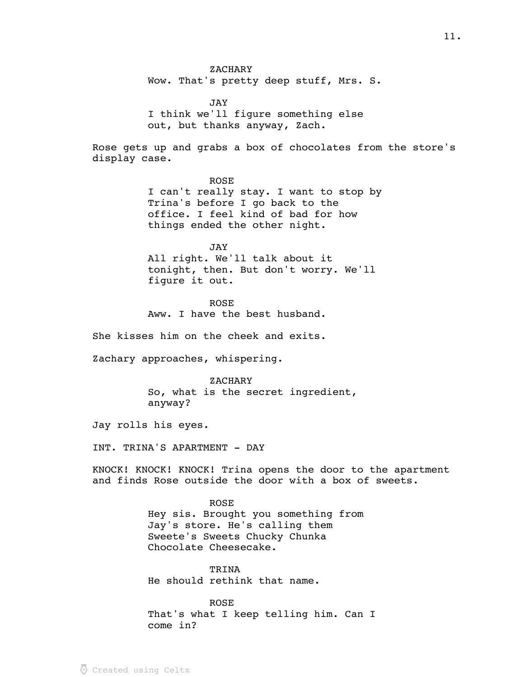ZACHARY Wow. That's pretty deep stuff, Mrs. S.

JAY I think we'll figure something else out, but thanks anyway, Zach.

Rose gets up and grabs a box of chocolates from the store's display case.

> ROSE I can't really stay. I want to stop by Trina's before I go back to the office. I feel kind of bad for how things ended the other night.

JAY All right. We'll talk about it tonight, then. But don't worry. We'll figure it out.

ROSE Aww. I have the best husband.

She kisses him on the cheek and exits.

Zachary approaches, whispering.

**ZACHARY** So, what is the secret ingredient, anyway?

Jay rolls his eyes.

INT. TRINA'S APARTMENT - DAY

KNOCK! KNOCK! KNOCK! Trina opens the door to the apartment and finds Rose outside the door with a box of sweets.

> ROSE Hey sis. Brought you something from Jay's store. He's calling them Sweete's Sweets Chucky Chunka Chocolate Cheesecake.

**TRINA** He should rethink that name.

ROSE That's what I keep telling him. Can I come in?

 $\overline{\Phi}$  Created using Celtx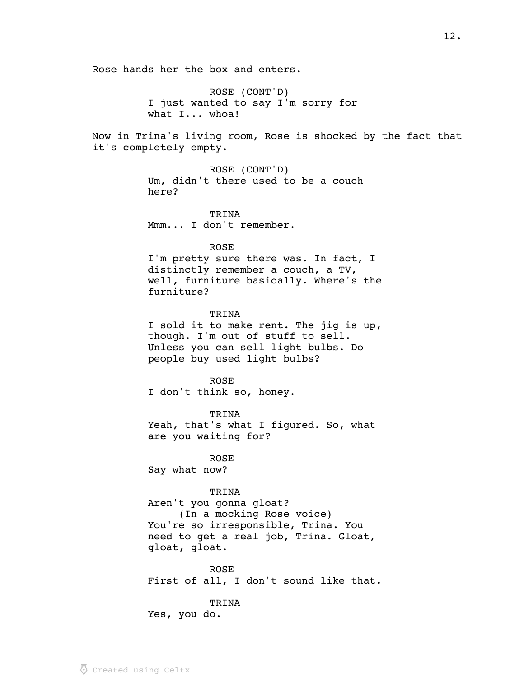Rose hands her the box and enters. ROSE (CONT'D) I just wanted to say I'm sorry for what I... whoa! Now in Trina's living room, Rose is shocked by the fact that it's completely empty. ROSE (CONT'D) Um, didn't there used to be a couch here? TRINA Mmm... I don't remember. ROSE I'm pretty sure there was. In fact, I distinctly remember a couch, a TV, well, furniture basically. Where's the furniture? TRINA I sold it to make rent. The jig is up, though. I'm out of stuff to sell. Unless you can sell light bulbs. Do people buy used light bulbs? ROSE I don't think so, honey. TRINA Yeah, that's what I figured. So, what are you waiting for? ROSE Say what now? TRINA Aren't you gonna gloat? (In a mocking Rose voice) You're so irresponsible, Trina. You need to get a real job, Trina. Gloat, gloat, gloat. ROSE First of all, I don't sound like that. TRINA

Yes, you do.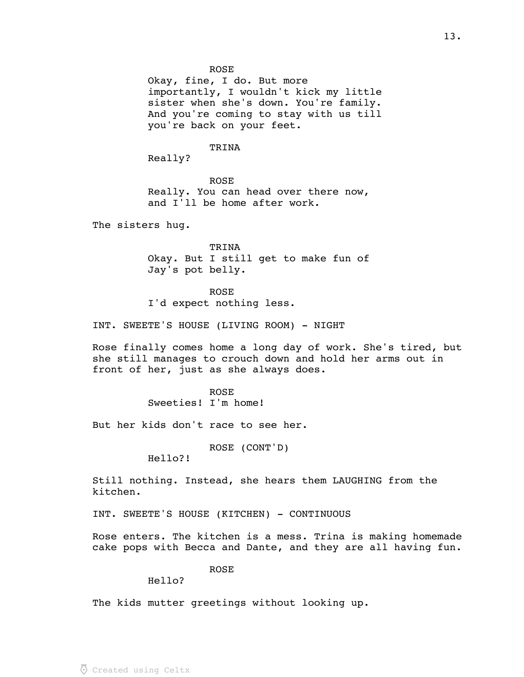Okay, fine, I do. But more importantly, I wouldn't kick my little sister when she's down. You're family. And you're coming to stay with us till you're back on your feet.

## TRINA

Really?

ROSE Really. You can head over there now, and I'll be home after work.

The sisters hug.

TRINA Okay. But I still get to make fun of Jay's pot belly.

## ROSE

I'd expect nothing less.

INT. SWEETE'S HOUSE (LIVING ROOM) - NIGHT

Rose finally comes home a long day of work. She's tired, but she still manages to crouch down and hold her arms out in front of her, just as she always does.

> ROSE Sweeties! I'm home!

But her kids don't race to see her.

ROSE (CONT'D)

Hello?!

Still nothing. Instead, she hears them LAUGHING from the kitchen.

INT. SWEETE'S HOUSE (KITCHEN) - CONTINUOUS

Rose enters. The kitchen is a mess. Trina is making homemade cake pops with Becca and Dante, and they are all having fun.

# ROSE

Hello?

The kids mutter greetings without looking up.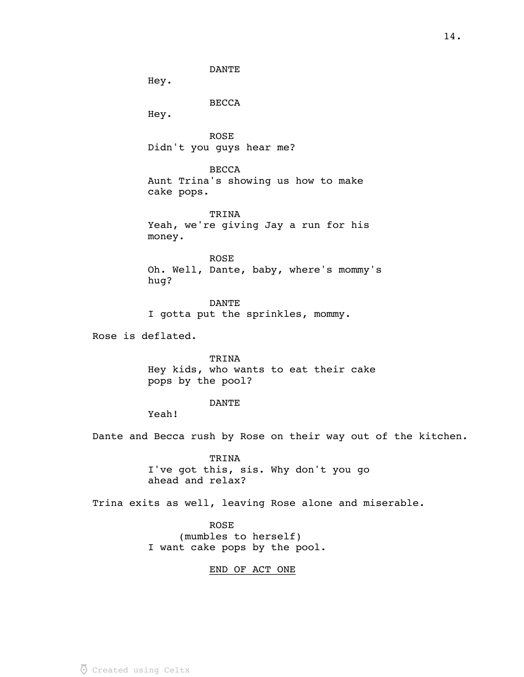DANTE

Hey.

BECCA

Hey.

ROSE Didn't you guys hear me?

**BECCA** Aunt Trina's showing us how to make cake pops.

TRINA Yeah, we're giving Jay a run for his money.

ROSE Oh. Well, Dante, baby, where's mommy's hug?

DANTE I gotta put the sprinkles, mommy.

Rose is deflated.

TRINA Hey kids, who wants to eat their cake pops by the pool?

#### DANTE

Yeah!

Dante and Becca rush by Rose on their way out of the kitchen.

TRINA I've got this, sis. Why don't you go ahead and relax?

Trina exits as well, leaving Rose alone and miserable.

ROSE (mumbles to herself) I want cake pops by the pool.

# END OF ACT ONE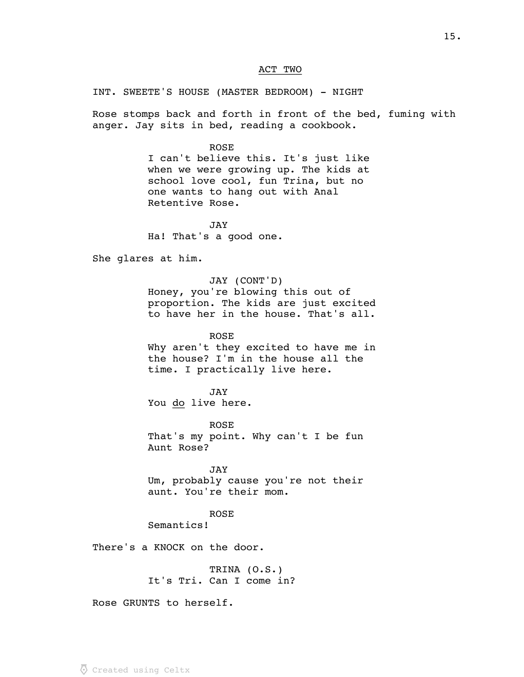# ACT TWO

# INT. SWEETE'S HOUSE (MASTER BEDROOM) - NIGHT

Rose stomps back and forth in front of the bed, fuming with anger. Jay sits in bed, reading a cookbook.

#### ROSE

I can't believe this. It's just like when we were growing up. The kids at school love cool, fun Trina, but no one wants to hang out with Anal Retentive Rose.

JAY Ha! That's a good one.

She glares at him.

JAY (CONT'D) Honey, you're blowing this out of proportion. The kids are just excited to have her in the house. That's all.

ROSE Why aren't they excited to have me in the house? I'm in the house all the time. I practically live here.

JAY You do live here.

ROSE That's my point. Why can't I be fun Aunt Rose?

JAY

Um, probably cause you're not their aunt. You're their mom.

## ROSE

Semantics!

There's a KNOCK on the door.

TRINA (O.S.) It's Tri. Can I come in?

Rose GRUNTS to herself.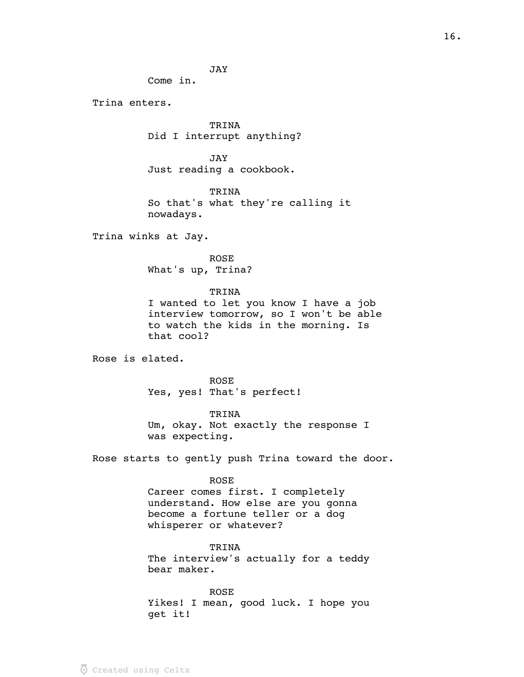JAY

Come in.

Trina enters.

TRINA Did I interrupt anything?

JAY Just reading a cookbook.

TRINA So that's what they're calling it nowadays.

Trina winks at Jay.

ROSE What's up, Trina?

TRINA

I wanted to let you know I have a job interview tomorrow, so I won't be able to watch the kids in the morning. Is that cool?

Rose is elated.

ROSE Yes, yes! That's perfect!

TRINA Um, okay. Not exactly the response I was expecting.

Rose starts to gently push Trina toward the door.

ROSE

Career comes first. I completely understand. How else are you gonna become a fortune teller or a dog whisperer or whatever?

TRINA

The interview's actually for a teddy bear maker.

ROSE Yikes! I mean, good luck. I hope you get it!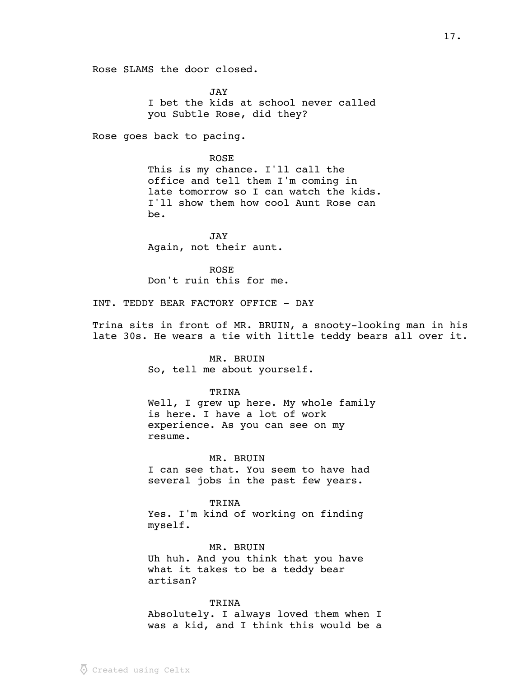Rose SLAMS the door closed.

JAY I bet the kids at school never called you Subtle Rose, did they?

Rose goes back to pacing.

ROSE This is my chance. I'll call the office and tell them I'm coming in late tomorrow so I can watch the kids. I'll show them how cool Aunt Rose can be.

JAY Again, not their aunt.

ROSE Don't ruin this for me.

INT. TEDDY BEAR FACTORY OFFICE - DAY

Trina sits in front of MR. BRUIN, a snooty-looking man in his late 30s. He wears a tie with little teddy bears all over it.

> MR. BRUIN So, tell me about yourself.

#### TRINA

Well, I grew up here. My whole family is here. I have a lot of work experience. As you can see on my resume.

MR. BRUIN

I can see that. You seem to have had several jobs in the past few years.

TRINA

Yes. I'm kind of working on finding myself.

MR. BRUIN Uh huh. And you think that you have what it takes to be a teddy bear artisan?

TRINA Absolutely. I always loved them when I was a kid, and I think this would be a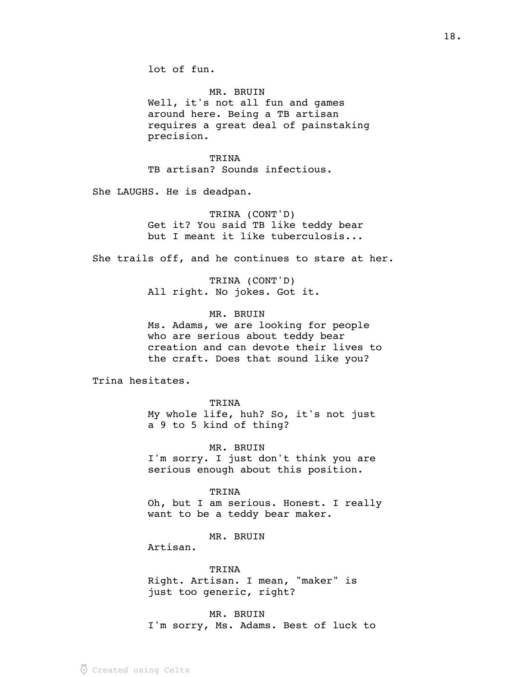lot of fun.

MR. BRUIN Well, it's not all fun and games around here. Being a TB artisan requires a great deal of painstaking precision.

TRINA TB artisan? Sounds infectious.

She LAUGHS. He is deadpan.

TRINA (CONT'D) Get it? You said TB like teddy bear but I meant it like tuberculosis...

She trails off, and he continues to stare at her.

TRINA (CONT'D) All right. No jokes. Got it.

MR. BRUIN Ms. Adams, we are looking for people who are serious about teddy bear creation and can devote their lives to the craft. Does that sound like you?

Trina hesitates.

TRINA

My whole life, huh? So, it's not just a 9 to 5 kind of thing?

MR. BRUIN I'm sorry. I just don't think you are serious enough about this position.

TRINA Oh, but I am serious. Honest. I really want to be a teddy bear maker.

MR. BRUIN

Artisan.

TRINA Right. Artisan. I mean, "maker" is just too generic, right?

MR. BRUIN I'm sorry, Ms. Adams. Best of luck to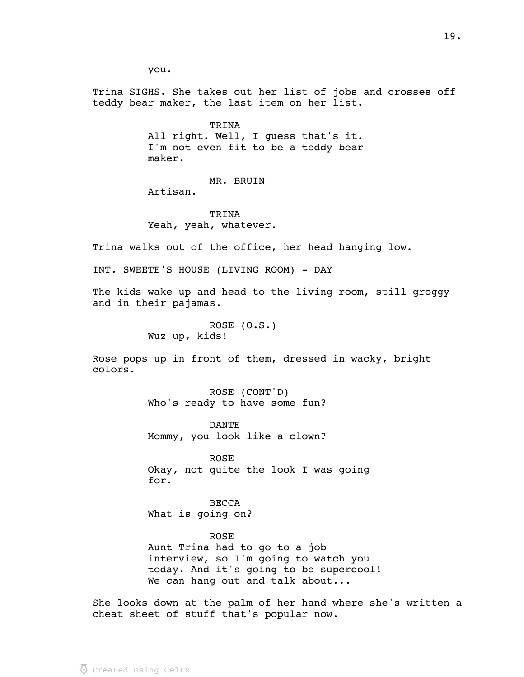you.

Trina SIGHS. She takes out her list of jobs and crosses off teddy bear maker, the last item on her list.

> TRINA All right. Well, I guess that's it. I'm not even fit to be a teddy bear maker.

> > MR. BRUIN

Artisan.

TRINA Yeah, yeah, whatever.

Trina walks out of the office, her head hanging low.

INT. SWEETE'S HOUSE (LIVING ROOM) - DAY

The kids wake up and head to the living room, still groggy and in their pajamas.

> ROSE (O.S.) Wuz up, kids!

Rose pops up in front of them, dressed in wacky, bright colors.

> ROSE (CONT'D) Who's ready to have some fun?

> DANTE Mommy, you look like a clown?

ROSE Okay, not quite the look I was going for.

**BECCA** What is going on?

## ROSE

Aunt Trina had to go to a job interview, so I'm going to watch you today. And it's going to be supercool! We can hang out and talk about...

She looks down at the palm of her hand where she's written a cheat sheet of stuff that's popular now.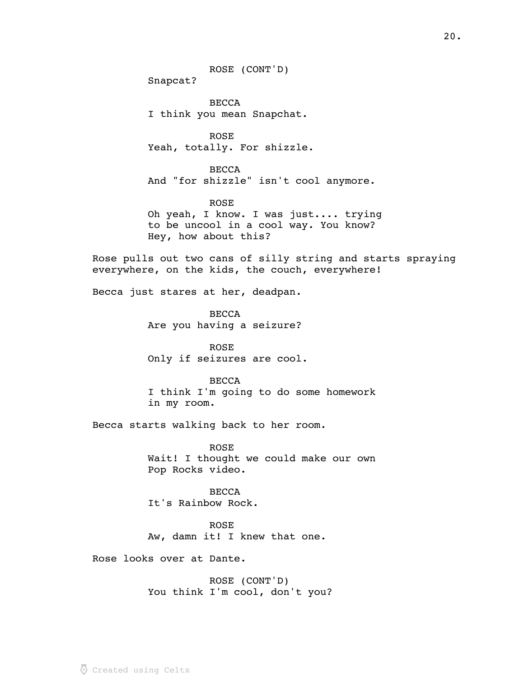ROSE (CONT'D)

Snapcat?

BECCA I think you mean Snapchat.

ROSE Yeah, totally. For shizzle.

BECCA And "for shizzle" isn't cool anymore.

ROSE Oh yeah, I know. I was just.... trying to be uncool in a cool way. You know? Hey, how about this?

Rose pulls out two cans of silly string and starts spraying everywhere, on the kids, the couch, everywhere!

Becca just stares at her, deadpan.

BECCA Are you having a seizure?

ROSE Only if seizures are cool.

BECCA I think I'm going to do some homework in my room.

Becca starts walking back to her room.

ROSE Wait! I thought we could make our own Pop Rocks video.

BECCA It's Rainbow Rock.

ROSE Aw, damn it! I knew that one.

Rose looks over at Dante.

ROSE (CONT'D) You think I'm cool, don't you?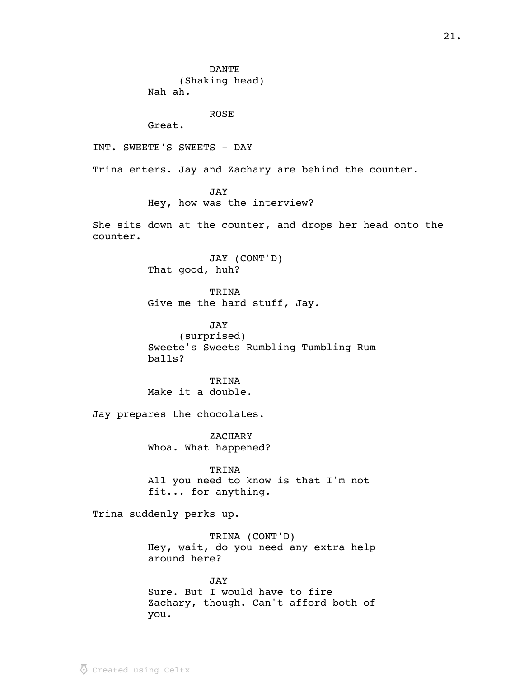DANTE (Shaking head) Nah ah. ROSE Great. INT. SWEETE'S SWEETS - DAY Trina enters. Jay and Zachary are behind the counter. JAY Hey, how was the interview? She sits down at the counter, and drops her head onto the counter. JAY (CONT'D) That good, huh? TRINA Give me the hard stuff, Jay. JAY (surprised) Sweete's Sweets Rumbling Tumbling Rum balls? TRINA Make it a double. Jay prepares the chocolates. ZACHARY Whoa. What happened? TRINA All you need to know is that I'm not fit... for anything. Trina suddenly perks up. TRINA (CONT'D) Hey, wait, do you need any extra help around here? JAY

Sure. But I would have to fire Zachary, though. Can't afford both of you.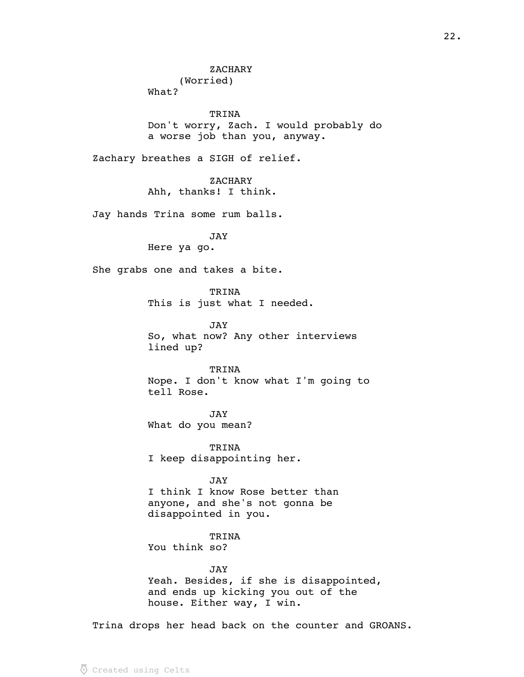**ZACHARY** (Worried) What? TRINA Don't worry, Zach. I would probably do a worse job than you, anyway. Zachary breathes a SIGH of relief. **ZACHARY** Ahh, thanks! I think. Jay hands Trina some rum balls. JAY Here ya go. She grabs one and takes a bite. TRINA This is just what I needed. JAY So, what now? Any other interviews lined up? TRINA Nope. I don't know what I'm going to tell Rose. JAY What do you mean? TRINA I keep disappointing her. JAY I think I know Rose better than anyone, and she's not gonna be disappointed in you. TRINA You think so? JAY

> Yeah. Besides, if she is disappointed, and ends up kicking you out of the house. Either way, I win.

Trina drops her head back on the counter and GROANS.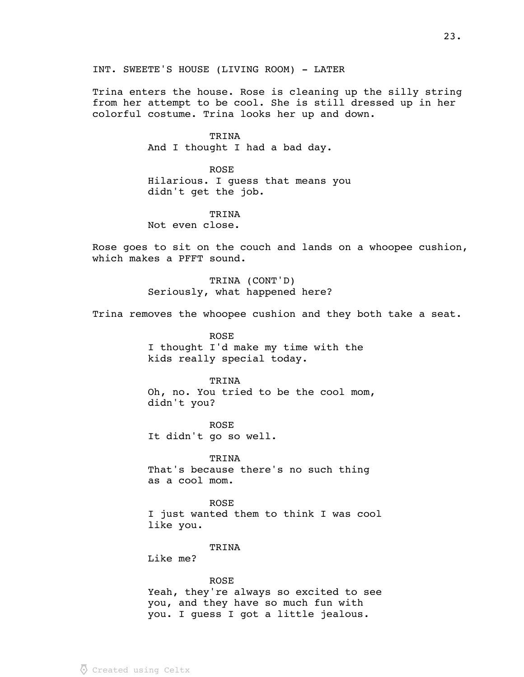Trina enters the house. Rose is cleaning up the silly string from her attempt to be cool. She is still dressed up in her colorful costume. Trina looks her up and down.

## TRINA

And I thought I had a bad day.

ROSE Hilarious. I guess that means you didn't get the job.

# TRINA

Not even close.

Rose goes to sit on the couch and lands on a whoopee cushion, which makes a PFFT sound.

> TRINA (CONT'D) Seriously, what happened here?

Trina removes the whoopee cushion and they both take a seat.

ROSE I thought I'd make my time with the kids really special today.

#### TRINA

Oh, no. You tried to be the cool mom, didn't you?

ROSE It didn't go so well.

TRINA That's because there's no such thing as a cool mom.

ROSE

I just wanted them to think I was cool like you.

#### TRINA

Like me?

ROSE Yeah, they're always so excited to see you, and they have so much fun with you. I guess I got a little jealous.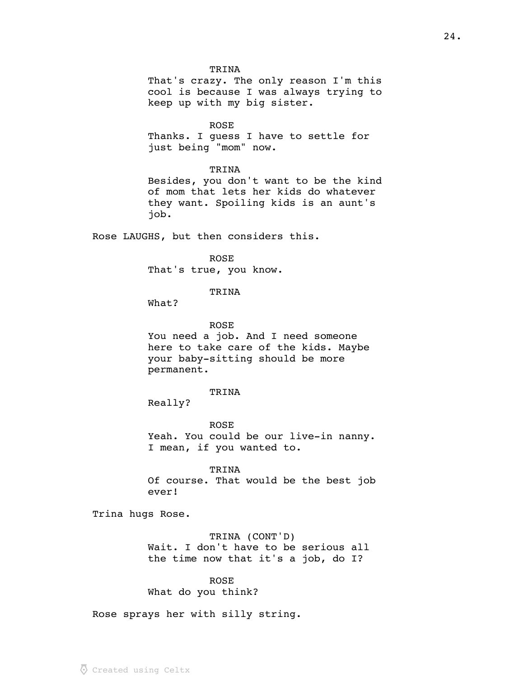TRINA

That's crazy. The only reason I'm this cool is because I was always trying to keep up with my big sister.

ROSE

Thanks. I guess I have to settle for just being "mom" now.

## TRINA

Besides, you don't want to be the kind of mom that lets her kids do whatever they want. Spoiling kids is an aunt's job.

Rose LAUGHS, but then considers this.

ROSE That's true, you know.

# TRINA

What?

#### ROSE

You need a job. And I need someone here to take care of the kids. Maybe your baby-sitting should be more permanent.

#### TRINA

Really?

ROSE Yeah. You could be our live-in nanny. I mean, if you wanted to.

TRINA

Of course. That would be the best job ever!

Trina hugs Rose.

### TRINA (CONT'D)

Wait. I don't have to be serious all the time now that it's a job, do I?

ROSE What do you think?

Rose sprays her with silly string.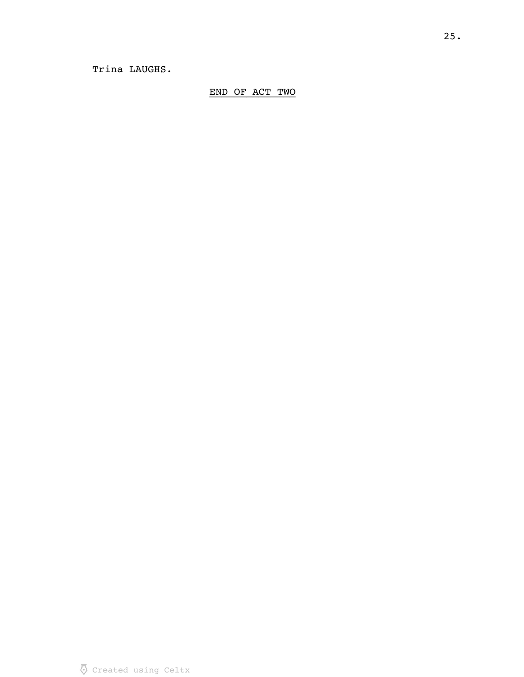# END OF ACT TWO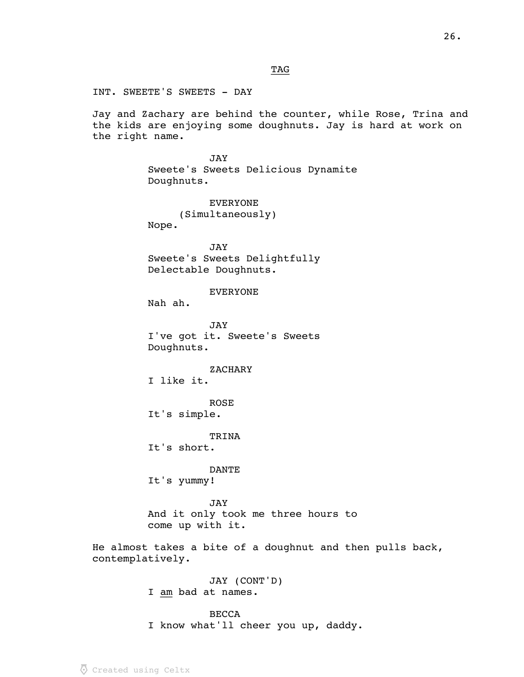$_{\rm TAG}$ 

INT. SWEETE'S SWEETS - DAY

Jay and Zachary are behind the counter, while Rose, Trina and the kids are enjoying some doughnuts. Jay is hard at work on the right name.

> JAY Sweete's Sweets Delicious Dynamite Doughnuts.

EVERYONE (Simultaneously) Nope.

JAY Sweete's Sweets Delightfully Delectable Doughnuts.

EVERYONE

Nah ah.

JAY I've got it. Sweete's Sweets Doughnuts.

**ZACHARY** 

I like it.

ROSE

It's simple.

TRINA

It's short.

DANTE

It's yummy!

JAY And it only took me three hours to come up with it.

He almost takes a bite of a doughnut and then pulls back, contemplatively.

> JAY (CONT'D) I am bad at names.

BECCA I know what'll cheer you up, daddy.